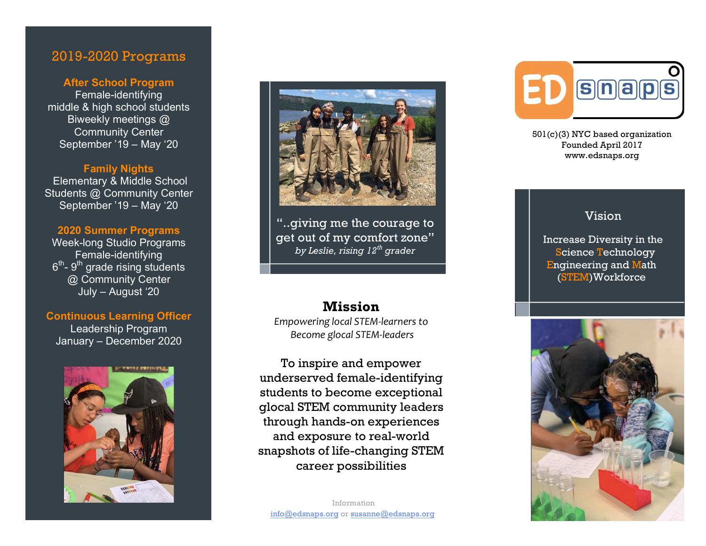# 2019 -2020 Programs

### **After School Program** Female -identifying middle & high school students Biweekly meetings @ Community Center September '19 – May '20

#### **Family Nights**

Elementary & Middle School Students @ Community Center September '19 – May '20

#### **2020 Summer Program s**

Week -long Studio Programs Female -identifying  $6<sup>th</sup>$ -  $9<sup>th</sup>$  grade rising students @ Community Center July – August '20

#### **Continuous Learning Officer**

Leadership Program January – December 2020





"..giving me the courage to get out of my comfort zone" *by Leslie, rising 12th grader*

# **Mission**

*Empowerin g local STEM -learners to Become glocal STEM -leaders*

To inspire and empower underserved female -identifying students to become exceptional glocal STEM community leaders through hands -on experiences and exposure to real -world snapshots of life -changing STEM career possibilities



501(c)( 3 ) NYC based organization Founded April 2017 www.edsnaps.org

### Vision

Increase Diversity in the Science Technology Engineering and Math (STEM)Workforce